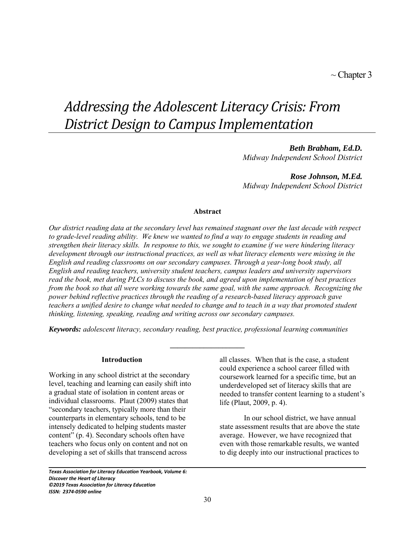# *Addressing the Adolescent Literacy Crisis: From District Design to Campus Implementation*

# *Beth Brabham, Ed.D.*

*Midway Independent School District* 

*Rose Johnson, M.Ed. Midway Independent School District* 

# **Abstract**

*Our district reading data at the secondary level has remained stagnant over the last decade with respect to grade-level reading ability. We knew we wanted to find a way to engage students in reading and strengthen their literacy skills. In response to this, we sought to examine if we were hindering literacy development through our instructional practices, as well as what literacy elements were missing in the English and reading classrooms on our secondary campuses. Through a year-long book study, all English and reading teachers, university student teachers, campus leaders and university supervisors read the book, met during PLCs to discuss the book, and agreed upon implementation of best practices from the book so that all were working towards the same goal, with the same approach. Recognizing the power behind reflective practices through the reading of a research-based literacy approach gave teachers a unified desire to change what needed to change and to teach in a way that promoted student thinking, listening, speaking, reading and writing across our secondary campuses.*

*Keywords: adolescent literacy, secondary reading, best practice, professional learning communities* 

**\_\_\_\_\_\_\_\_\_\_\_\_\_\_\_\_\_\_\_\_**

#### **Introduction**

Working in any school district at the secondary level, teaching and learning can easily shift into a gradual state of isolation in content areas or individual classrooms. Plaut (2009) states that "secondary teachers, typically more than their counterparts in elementary schools, tend to be intensely dedicated to helping students master content" (p. 4). Secondary schools often have teachers who focus only on content and not on developing a set of skills that transcend across

all classes. When that is the case, a student could experience a school career filled with coursework learned for a specific time, but an underdeveloped set of literacy skills that are needed to transfer content learning to a student's life (Plaut, 2009, p. 4).

In our school district, we have annual state assessment results that are above the state average. However, we have recognized that even with those remarkable results, we wanted to dig deeply into our instructional practices to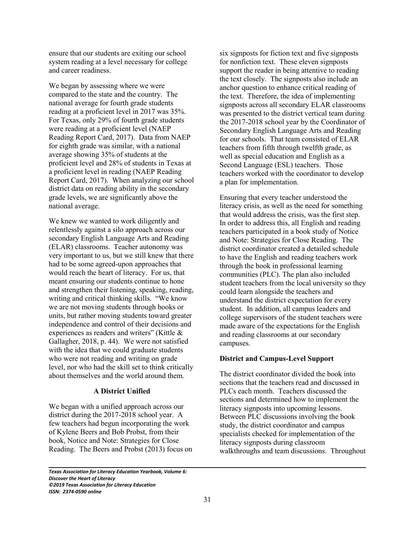ensure that our students are exiting our school system reading at a level necessary for college and career readiness.

We began by assessing where we were compared to the state and the country. The national average for fourth grade students reading at a proficient level in 2017 was 35%. For Texas, only 29% of fourth grade students were reading at a proficient level (NAEP Reading Report Card, 2017). Data from NAEP for eighth grade was similar, with a national average showing 35% of students at the proficient level and 28% of students in Texas at a proficient level in reading (NAEP Reading Report Card, 2017). When analyzing our school district data on reading ability in the secondary grade levels, we are significantly above the national average.

We knew we wanted to work diligently and relentlessly against a silo approach across our secondary English Language Arts and Reading (ELAR) classrooms. Teacher autonomy was very important to us, but we still knew that there had to be some agreed-upon approaches that would reach the heart of literacy. For us, that meant ensuring our students continue to hone and strengthen their listening, speaking, reading, writing and critical thinking skills. "We know we are not moving students through books or units, but rather moving students toward greater independence and control of their decisions and experiences as readers and writers" (Kittle & Gallagher, 2018, p. 44). We were not satisfied with the idea that we could graduate students who were not reading and writing on grade level, nor who had the skill set to think critically about themselves and the world around them.

### **A District Unified**

We began with a unified approach across our district during the 2017-2018 school year. A few teachers had begun incorporating the work of Kylene Beers and Bob Probst, from their book, Notice and Note: Strategies for Close Reading. The Beers and Probst (2013) focus on six signposts for fiction text and five signposts for nonfiction text. These eleven signposts support the reader in being attentive to reading the text closely. The signposts also include an anchor question to enhance critical reading of the text. Therefore, the idea of implementing signposts across all secondary ELAR classrooms was presented to the district vertical team during the 2017-2018 school year by the Coordinator of Secondary English Language Arts and Reading for our schools. That team consisted of ELAR teachers from fifth through twelfth grade, as well as special education and English as a Second Language (ESL) teachers. Those teachers worked with the coordinator to develop a plan for implementation.

Ensuring that every teacher understood the literacy crisis, as well as the need for something that would address the crisis, was the first step. In order to address this, all English and reading teachers participated in a book study of Notice and Note: Strategies for Close Reading. The district coordinator created a detailed schedule to have the English and reading teachers work through the book in professional learning communities (PLC). The plan also included student teachers from the local university so they could learn alongside the teachers and understand the district expectation for every student. In addition, all campus leaders and college supervisors of the student teachers were made aware of the expectations for the English and reading classrooms at our secondary campuses.

# **District and Campus-Level Support**

The district coordinator divided the book into sections that the teachers read and discussed in PLCs each month. Teachers discussed the sections and determined how to implement the literacy signposts into upcoming lessons. Between PLC discussions involving the book study, the district coordinator and campus specialists checked for implementation of the literacy signposts during classroom walkthroughs and team discussions. Throughout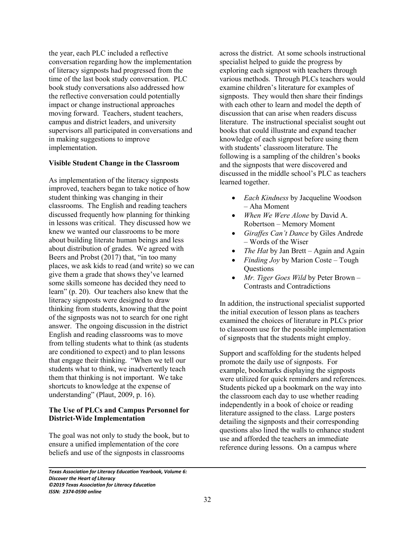the year, each PLC included a reflective conversation regarding how the implementation of literacy signposts had progressed from the time of the last book study conversation. PLC book study conversations also addressed how the reflective conversation could potentially impact or change instructional approaches moving forward. Teachers, student teachers, campus and district leaders, and university supervisors all participated in conversations and in making suggestions to improve implementation.

#### **Visible Student Change in the Classroom**

As implementation of the literacy signposts improved, teachers began to take notice of how student thinking was changing in their classrooms. The English and reading teachers discussed frequently how planning for thinking in lessons was critical. They discussed how we knew we wanted our classrooms to be more about building literate human beings and less about distribution of grades. We agreed with Beers and Probst (2017) that, "in too many places, we ask kids to read (and write) so we can give them a grade that shows they've learned some skills someone has decided they need to learn" (p. 20). Our teachers also knew that the literacy signposts were designed to draw thinking from students, knowing that the point of the signposts was not to search for one right answer. The ongoing discussion in the district English and reading classrooms was to move from telling students what to think (as students are conditioned to expect) and to plan lessons that engage their thinking. "When we tell our students what to think, we inadvertently teach them that thinking is not important. We take shortcuts to knowledge at the expense of understanding" (Plaut, 2009, p. 16).

# **The Use of PLCs and Campus Personnel for District-Wide Implementation**

The goal was not only to study the book, but to ensure a unified implementation of the core beliefs and use of the signposts in classrooms

across the district. At some schools instructional specialist helped to guide the progress by exploring each signpost with teachers through various methods. Through PLCs teachers would examine children's literature for examples of signposts. They would then share their findings with each other to learn and model the depth of discussion that can arise when readers discuss literature. The instructional specialist sought out books that could illustrate and expand teacher knowledge of each signpost before using them with students' classroom literature. The following is a sampling of the children's books and the signposts that were discovered and discussed in the middle school's PLC as teachers learned together.

- *Each Kindness* by Jacqueline Woodson – Aha Moment
- *When We Were Alone* by David A. Robertson – Memory Moment
- *Giraffes Can't Dance* by Giles Andrede – Words of the Wiser
- *The Hat* by Jan Brett Again and Again
- *Finding Joy* by Marion Coste Tough **Questions**
- *Mr. Tiger Goes Wild* by Peter Brown Contrasts and Contradictions

In addition, the instructional specialist supported the initial execution of lesson plans as teachers examined the choices of literature in PLCs prior to classroom use for the possible implementation of signposts that the students might employ.

Support and scaffolding for the students helped promote the daily use of signposts. For example, bookmarks displaying the signposts were utilized for quick reminders and references. Students picked up a bookmark on the way into the classroom each day to use whether reading independently in a book of choice or reading literature assigned to the class. Large posters detailing the signposts and their corresponding questions also lined the walls to enhance student use and afforded the teachers an immediate reference during lessons. On a campus where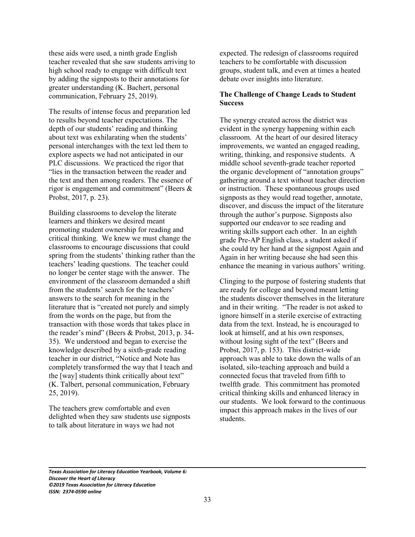these aids were used, a ninth grade English teacher revealed that she saw students arriving to high school ready to engage with difficult text by adding the signposts to their annotations for greater understanding (K. Bachert, personal communication, February 25, 2019).

The results of intense focus and preparation led to results beyond teacher expectations. The depth of our students' reading and thinking about text was exhilarating when the students' personal interchanges with the text led them to explore aspects we had not anticipated in our PLC discussions. We practiced the rigor that "lies in the transaction between the reader and the text and then among readers. The essence of rigor is engagement and commitment" (Beers & Probst, 2017, p. 23).

Building classrooms to develop the literate learners and thinkers we desired meant promoting student ownership for reading and critical thinking. We knew we must change the classrooms to encourage discussions that could spring from the students' thinking rather than the teachers' leading questions. The teacher could no longer be center stage with the answer. The environment of the classroom demanded a shift from the students' search for the teachers' answers to the search for meaning in the literature that is "created not purely and simply from the words on the page, but from the transaction with those words that takes place in the reader's mind" (Beers & Probst, 2013, p. 34- 35). We understood and began to exercise the knowledge described by a sixth-grade reading teacher in our district, "Notice and Note has completely transformed the way that I teach and the [way] students think critically about text" (K. Talbert, personal communication, February 25, 2019).

The teachers grew comfortable and even delighted when they saw students use signposts to talk about literature in ways we had not

expected. The redesign of classrooms required teachers to be comfortable with discussion groups, student talk, and even at times a heated debate over insights into literature.

# **The Challenge of Change Leads to Student Success**

The synergy created across the district was evident in the synergy happening within each classroom. At the heart of our desired literacy improvements, we wanted an engaged reading, writing, thinking, and responsive students. A middle school seventh-grade teacher reported the organic development of "annotation groups" gathering around a text without teacher direction or instruction. These spontaneous groups used signposts as they would read together, annotate, discover, and discuss the impact of the literature through the author's purpose. Signposts also supported our endeavor to see reading and writing skills support each other. In an eighth grade Pre-AP English class, a student asked if she could try her hand at the signpost Again and Again in her writing because she had seen this enhance the meaning in various authors' writing.

Clinging to the purpose of fostering students that are ready for college and beyond meant letting the students discover themselves in the literature and in their writing. "The reader is not asked to ignore himself in a sterile exercise of extracting data from the text. Instead, he is encouraged to look at himself, and at his own responses, without losing sight of the text" (Beers and Probst, 2017, p. 153). This district-wide approach was able to take down the walls of an isolated, silo-teaching approach and build a connected focus that traveled from fifth to twelfth grade. This commitment has promoted critical thinking skills and enhanced literacy in our students. We look forward to the continuous impact this approach makes in the lives of our students.